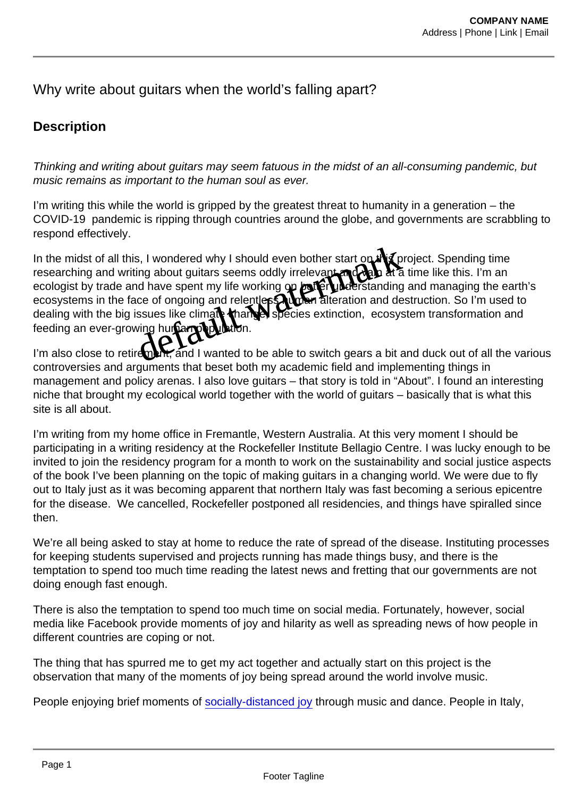## Why write about quitars when the world's falling apart?

## **Description**

Thinking and writing about guitars may seem fatuous in the midst of an all-consuming pandemic, but music remains as important to the human soul as ever.

I'm writing this while the world is gripped by the greatest threat to humanity in a generation – the COVID-19 pandemic is ripping through countries around the globe, and governments are scrabbling to respond effectively.

In the midst of all this, I wondered why I should even bother start on the project. Spending time researching and writing about guitars seems oddly irrelevant and vail at a time like this. I'm an ecologist by trade and have spent my life working on the tetra understanding and managing the earth's ecosystems in the face of ongoing and relentless ham alteration and destruction. So I'm used to dealing with the big issues like climate change, species extinction, ecosystem transformation and feeding an ever-growing human p s, I wondered why I should even bother start on the processing about guitars seems oddly irrelevanted with a time<br>ing about guitars seems oddly irrelevanted with a time<br>and have spent my life working on decreased independe

I'm also close to retirement, and I wanted to be able to switch gears a bit and duck out of all the various controversies and arguments that beset both my academic field and implementing things in management and policy arenas. I also love guitars – that story is told in "About". I found an interesting niche that brought my ecological world together with the world of guitars – basically that is what this site is all about.

I'm writing from my home office in Fremantle, Western Australia. At this very moment I should be participating in a writing residency at the Rockefeller Institute Bellagio Centre. I was lucky enough to be invited to join the residency program for a month to work on the sustainability and social justice aspects of the book I've been planning on the topic of making guitars in a changing world. We were due to fly out to Italy just as it was becoming apparent that northern Italy was fast becoming a serious epicentre for the disease. We cancelled, Rockefeller postponed all residencies, and things have spiralled since then.

We're all being asked to stay at home to reduce the rate of spread of the disease. Instituting processes for keeping students supervised and projects running has made things busy, and there is the temptation to spend too much time reading the latest news and fretting that our governments are not doing enough fast enough.

There is also the temptation to spend too much time on social media. Fortunately, however, social media like Facebook provide moments of joy and hilarity as well as spreading news of how people in different countries are coping or not.

The thing that has spurred me to get my act together and actually start on this project is the observation that many of the moments of joy being spread around the world involve music.

People enjoying brief moments of [socially-distanced joy](https://www.facebook.com/joe.crookston.3/videos/10218422082077727/UzpfSTEwMDAwMjAzMzIyNzM4ODoyNzkyMTUzNzI3NTI5MDQx/) through music and dance. People in Italy,